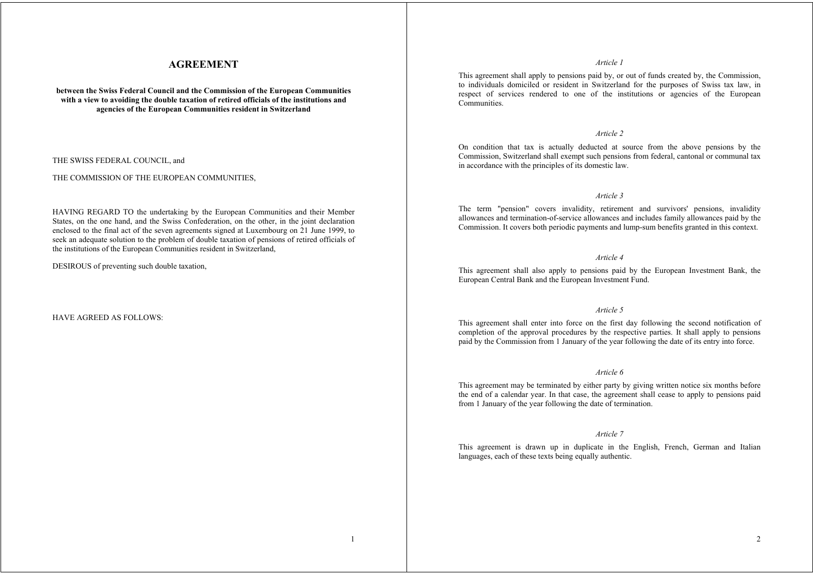# **AGREEMENT**

**between the Swiss Federal Council and the Commission of the European Communities with a view to avoiding the double taxation of retired officials of the institutions and agencies of the European Communities resident in Switzerland** 

THE SWISS FEDERAL COUNCIL, and

#### THE COMMISSION OF THE EUROPEAN COMMUNITIES,

HAVING REGARD TO the undertaking by the European Communities and their Member States, on the one hand, and the Swiss Confederation, on the other, in the joint declaration enclosed to the final act of the seven agreements signed at Luxembourg on 21 June 1999, to seek an adequate solution to the problem of double taxation of pensions of retired officials of the institutions of the European Communities resident in Switzerland,

DESIROUS of preventing such double taxation,

## HAVE AGREED AS FOLLOWS:

#### *Article 1*

This agreement shall apply to pensions paid by, or out of funds created by, the Commission, to individuals domiciled or resident in Switzerland for the purposes of Swiss tax law, in respect of services rendered to one of the institutions or agencies of the European Communities.

## *Article 2*

On condition that tax is actually deducted at source from the above pensions by the Commission, Switzerland shall exempt such pensions from federal, cantonal or communal tax in accordance with the principles of its domestic law.

#### *Article 3*

The term "pension" covers invalidity, retirement and survivors' pensions, invalidity allowances and termination-of-service allowances and includes family allowances paid by the Commission. It covers both periodic payments and lump-sum benefits granted in this context.

#### *Article 4*

This agreement shall also apply to pensions paid by the European Investment Bank, the European Central Bank and the European Investment Fund.

## *Article 5*

This agreement shall enter into force on the first day following the second notification of completion of the approval procedures by the respective parties. It shall apply to pensions paid by the Commission from 1 January of the year following the date of its entry into force.

## *Article 6*

This agreement may be terminated by either party by giving written notice six months before the end of a calendar year. In that case, the agreement shall cease to apply to pensions paid from 1 January of the year following the date of termination.

## *Article 7*

This agreement is drawn up in duplicate in the English, French, German and Italian languages, each of these texts being equally authentic.